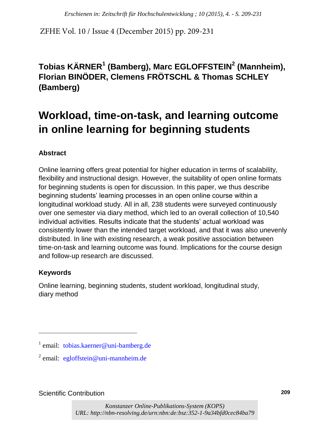ZFHE Vol. 10 / Issue 4 (December 2015) pp. 209-231

## **Tobias KÄRNER<sup>1</sup> (Bamberg), Marc EGLOFFSTEIN<sup>2</sup> (Mannheim), Florian BINÖDER, Clemens FRÖTSCHL & Thomas SCHLEY (Bamberg)**

# **Workload, time-on-task, and learning outcome in online learning for beginning students**

### **Abstract**

Online learning offers great potential for higher education in terms of scalability, flexibility and instructional design. However, the suitability of open online formats for beginning students is open for discussion. In this paper, we thus describe beginning students' learning processes in an open online course within a longitudinal workload study. All in all, 238 students were surveyed continuously over one semester via diary method, which led to an overall collection of 10,540 individual activities. Results indicate that the students' actual workload was consistently lower than the intended target workload, and that it was also unevenly distributed. In line with existing research, a weak positive association between time-on-task and learning outcome was found. Implications for the course design and follow-up research are discussed. *Enchienen in: Zeitschrift für Hochschulentwicklung ; 10 (2015), 4. - S. 209-231*<br> **Vol. 10 / Issue 4 (December 2015) pp. 209-231**<br> **KÄRNER<sup>1</sup> (Bamberg), Marc EGLOFFSTEIN<sup>2</sup> (Mann<br>
BINÖDER, Clemens FRÖTSCHL & Thomas SCHLE<br>** 

#### **Keywords**

Online learning, beginning students, student workload, longitudinal study, diary method

<sup>&</sup>lt;sup>1</sup> email: tobias.kaerner@uni-bamberg.de

<sup>&</sup>lt;sup>2</sup> email: egloffstein@uni-mannheim.de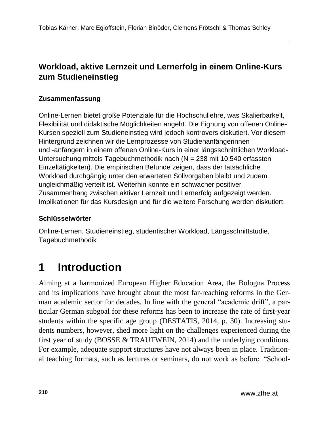### **Workload, aktive Lernzeit und Lernerfolg in einem Online-Kurs zum Studieneinstieg**

#### **Zusammenfassung**

Online-Lernen bietet große Potenziale für die Hochschullehre, was Skalierbarkeit, Flexibilität und didaktische Möglichkeiten angeht. Die Eignung von offenen Online-Kursen speziell zum Studieneinstieg wird jedoch kontrovers diskutiert. Vor diesem Hintergrund zeichnen wir die Lernprozesse von Studienanfängerinnen und -anfängern in einem offenen Online-Kurs in einer längsschnittlichen Workload-Untersuchung mittels Tagebuchmethodik nach (N = 238 mit 10.540 erfassten Einzeltätigkeiten). Die empirischen Befunde zeigen, dass der tatsächliche Workload durchgängig unter den erwarteten Sollvorgaben bleibt und zudem ungleichmäßig verteilt ist. Weiterhin konnte ein schwacher positiver Zusammenhang zwischen aktiver Lernzeit und Lernerfolg aufgezeigt werden. Implikationen für das Kursdesign und für die weitere Forschung werden diskutiert.

#### **Schlüsselwörter**

Online-Lernen, Studieneinstieg, studentischer Workload, Längsschnittstudie, Tagebuchmethodik

# **1 Introduction**

Aiming at a harmonized European Higher Education Area, the Bologna Process and its implications have brought about the most far-reaching reforms in the German academic sector for decades. In line with the general "academic drift", a particular German subgoal for these reforms has been to increase the rate of first-year students within the specific age group (DESTATIS, 2014, p. 30). Increasing students numbers, however, shed more light on the challenges experienced during the first year of study (BOSSE & TRAUTWEIN, 2014) and the underlying conditions. For example, adequate support structures have not always been in place. Traditional teaching formats, such as lectures or seminars, do not work as before. "School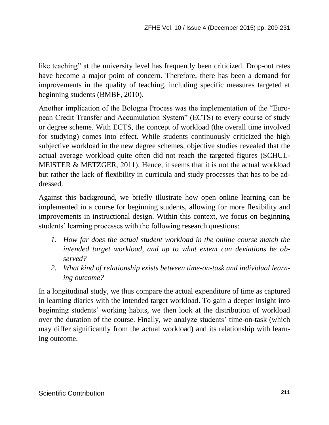like teaching" at the university level has frequently been criticized. Drop-out rates have become a major point of concern. Therefore, there has been a demand for improvements in the quality of teaching, including specific measures targeted at beginning students (BMBF, 2010).

Another implication of the Bologna Process was the implementation of the "European Credit Transfer and Accumulation System" (ECTS) to every course of study or degree scheme. With ECTS, the concept of workload (the overall time involved for studying) comes into effect. While students continuously criticized the high subjective workload in the new degree schemes, objective studies revealed that the actual average workload quite often did not reach the targeted figures (SCHUL-MEISTER & METZGER, 2011). Hence, it seems that it is not the actual workload but rather the lack of flexibility in curricula and study processes that has to be addressed.

Against this background, we briefly illustrate how open online learning can be implemented in a course for beginning students, allowing for more flexibility and improvements in instructional design. Within this context, we focus on beginning students' learning processes with the following research questions:

- *1. How far does the actual student workload in the online course match the intended target workload, and up to what extent can deviations be observed?*
- *2. What kind of relationship exists between time-on-task and individual learning outcome?*

In a longitudinal study, we thus compare the actual expenditure of time as captured in learning diaries with the intended target workload. To gain a deeper insight into beginning students' working habits, we then look at the distribution of workload over the duration of the course. Finally, we analyze students' time-on-task (which may differ significantly from the actual workload) and its relationship with learning outcome.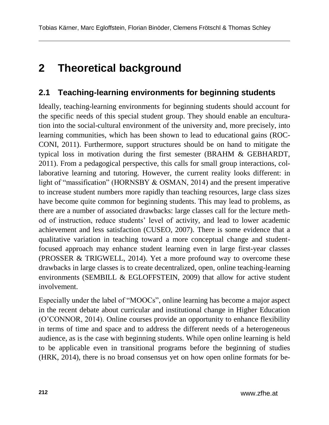# **2 Theoretical background**

### **2.1 Teaching-learning environments for beginning students**

Ideally, teaching-learning environments for beginning students should account for the specific needs of this special student group. They should enable an enculturation into the social-cultural environment of the university and, more precisely, into learning communities, which has been shown to lead to educational gains (ROC-CONI, 2011). Furthermore, support structures should be on hand to mitigate the typical loss in motivation during the first semester (BRAHM & GEBHARDT, 2011). From a pedagogical perspective, this calls for small group interactions, collaborative learning and tutoring. However, the current reality looks different: in light of "massification" (HORNSBY & OSMAN, 2014) and the present imperative to increase student numbers more rapidly than teaching resources, large class sizes have become quite common for beginning students. This may lead to problems, as there are a number of associated drawbacks: large classes call for the lecture method of instruction, reduce students' level of activity, and lead to lower academic achievement and less satisfaction (CUSEO, 2007). There is some evidence that a qualitative variation in teaching toward a more conceptual change and studentfocused approach may enhance student learning even in large first-year classes (PROSSER & TRIGWELL, 2014). Yet a more profound way to overcome these drawbacks in large classes is to create decentralized, open, online teaching-learning environments (SEMBILL & EGLOFFSTEIN, 2009) that allow for active student involvement.

Especially under the label of "MOOCs", online learning has become a major aspect in the recent debate about curricular and institutional change in Higher Education (O'CONNOR, 2014). Online courses provide an opportunity to enhance flexibility in terms of time and space and to address the different needs of a heterogeneous audience, as is the case with beginning students. While open online learning is held to be applicable even in transitional programs before the beginning of studies (HRK, 2014), there is no broad consensus yet on how open online formats for be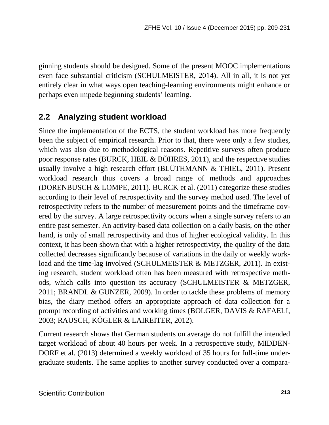ginning students should be designed. Some of the present MOOC implementations even face substantial criticism (SCHULMEISTER, 2014). All in all, it is not yet entirely clear in what ways open teaching-learning environments might enhance or perhaps even impede beginning students' learning.

### **2.2 Analyzing student workload**

Since the implementation of the ECTS, the student workload has more frequently been the subject of empirical research. Prior to that, there were only a few studies, which was also due to methodological reasons. Repetitive surveys often produce poor response rates (BURCK, HEIL & BÖHRES, 2011), and the respective studies usually involve a high research effort (BLÜTHMANN & THIEL, 2011). Present workload research thus covers a broad range of methods and approaches (DORENBUSCH & LOMPE, 2011). BURCK et al. (2011) categorize these studies according to their level of retrospectivity and the survey method used. The level of retrospectivity refers to the number of measurement points and the timeframe covered by the survey. A large retrospectivity occurs when a single survey refers to an entire past semester. An activity-based data collection on a daily basis, on the other hand, is only of small retrospectivity and thus of higher ecological validity. In this context, it has been shown that with a higher retrospectivity, the quality of the data collected decreases significantly because of variations in the daily or weekly workload and the time-lag involved (SCHULMEISTER & METZGER, 2011). In existing research, student workload often has been measured with retrospective methods, which calls into question its accuracy (SCHULMEISTER & METZGER, 2011; BRANDL & GUNZER, 2009). In order to tackle these problems of memory bias, the diary method offers an appropriate approach of data collection for a prompt recording of activities and working times (BOLGER, DAVIS & RAFAELI, 2003; RAUSCH, KÖGLER & LAIREITER, 2012).

Current research shows that German students on average do not fulfill the intended target workload of about 40 hours per week. In a retrospective study, MIDDEN-DORF et al. (2013) determined a weekly workload of 35 hours for full-time undergraduate students. The same applies to another survey conducted over a compara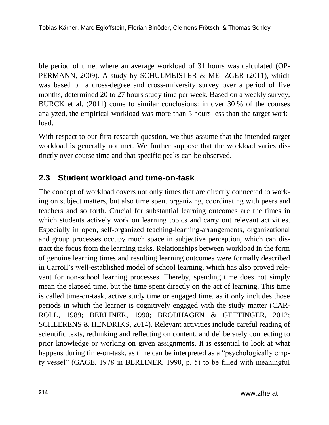ble period of time, where an average workload of 31 hours was calculated (OP-PERMANN, 2009). A study by SCHULMEISTER & METZGER (2011), which was based on a cross-degree and cross-university survey over a period of five months, determined 20 to 27 hours study time per week. Based on a weekly survey, BURCK et al. (2011) come to similar conclusions: in over 30 % of the courses analyzed, the empirical workload was more than 5 hours less than the target workload.

With respect to our first research question, we thus assume that the intended target workload is generally not met. We further suppose that the workload varies distinctly over course time and that specific peaks can be observed.

### **2.3 Student workload and time-on-task**

The concept of workload covers not only times that are directly connected to working on subject matters, but also time spent organizing, coordinating with peers and teachers and so forth. Crucial for substantial learning outcomes are the times in which students actively work on learning topics and carry out relevant activities. Especially in open, self-organized teaching-learning-arrangements, organizational and group processes occupy much space in subjective perception, which can distract the focus from the learning tasks. Relationships between workload in the form of genuine learning times and resulting learning outcomes were formally described in Carroll's well-established model of school learning, which has also proved relevant for non-school learning processes. Thereby, spending time does not simply mean the elapsed time, but the time spent directly on the act of learning. This time is called time-on-task, active study time or engaged time, as it only includes those periods in which the learner is cognitively engaged with the study matter (CAR-ROLL, 1989; BERLINER, 1990; BRODHAGEN & GETTINGER, 2012; SCHEERENS & HENDRIKS, 2014). Relevant activities include careful reading of scientific texts, rethinking and reflecting on content, and deliberately connecting to prior knowledge or working on given assignments. It is essential to look at what happens during time-on-task, as time can be interpreted as a "psychologically empty vessel" (GAGE, 1978 in BERLINER, 1990, p. 5) to be filled with meaningful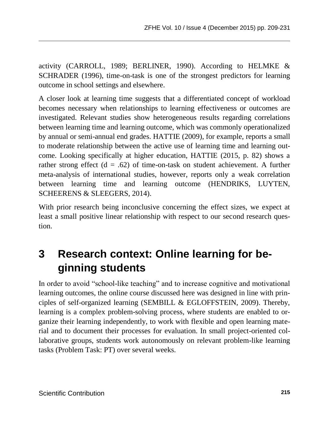activity (CARROLL, 1989; BERLINER, 1990). According to HELMKE & SCHRADER (1996), time-on-task is one of the strongest predictors for learning outcome in school settings and elsewhere.

A closer look at learning time suggests that a differentiated concept of workload becomes necessary when relationships to learning effectiveness or outcomes are investigated. Relevant studies show heterogeneous results regarding correlations between learning time and learning outcome, which was commonly operationalized by annual or semi-annual end grades. HATTIE (2009), for example, reports a small to moderate relationship between the active use of learning time and learning outcome. Looking specifically at higher education, HATTIE (2015, p. 82) shows a rather strong effect ( $d = .62$ ) of time-on-task on student achievement. A further meta-analysis of international studies, however, reports only a weak correlation between learning time and learning outcome (HENDRIKS, LUYTEN, SCHEERENS & SLEEGERS, 2014).

With prior research being inconclusive concerning the effect sizes, we expect at least a small positive linear relationship with respect to our second research question.

# **3 Research context: Online learning for beginning students**

In order to avoid "school-like teaching" and to increase cognitive and motivational learning outcomes, the online course discussed here was designed in line with principles of self-organized learning (SEMBILL & EGLOFFSTEIN, 2009). Thereby, learning is a complex problem-solving process, where students are enabled to organize their learning independently, to work with flexible and open learning material and to document their processes for evaluation. In small project-oriented collaborative groups, students work autonomously on relevant problem-like learning tasks (Problem Task: PT) over several weeks.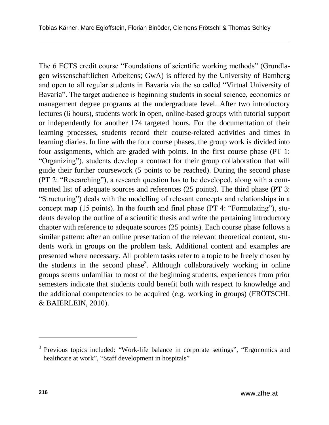The 6 ECTS credit course "Foundations of scientific working methods" (Grundlagen wissenschaftlichen Arbeitens; GwA) is offered by the University of Bamberg and open to all regular students in Bavaria via the so called "Virtual University of Bavaria". The target audience is beginning students in social science, economics or management degree programs at the undergraduate level. After two introductory lectures (6 hours), students work in open, online-based groups with tutorial support or independently for another 174 targeted hours. For the documentation of their learning processes, students record their course-related activities and times in learning diaries. In line with the four course phases, the group work is divided into four assignments, which are graded with points. In the first course phase (PT 1: "Organizing"), students develop a contract for their group collaboration that will guide their further coursework (5 points to be reached). During the second phase (PT 2: "Researching"), a research question has to be developed, along with a commented list of adequate sources and references (25 points). The third phase (PT 3: "Structuring") deals with the modelling of relevant concepts and relationships in a concept map (15 points). In the fourth and final phase (PT 4: "Formulating"), students develop the outline of a scientific thesis and write the pertaining introductory chapter with reference to adequate sources (25 points). Each course phase follows a similar pattern: after an online presentation of the relevant theoretical content, students work in groups on the problem task. Additional content and examples are presented where necessary. All problem tasks refer to a topic to be freely chosen by the students in the second phase<sup>3</sup>. Although collaboratively working in online groups seems unfamiliar to most of the beginning students, experiences from prior semesters indicate that students could benefit both with respect to knowledge and the additional competencies to be acquired (e.g. working in groups) (FRÖTSCHL & BAIERLEIN, 2010).

 $\overline{a}$ 

<sup>&</sup>lt;sup>3</sup> Previous topics included: "Work-life balance in corporate settings", "Ergonomics and healthcare at work", "Staff development in hospitals"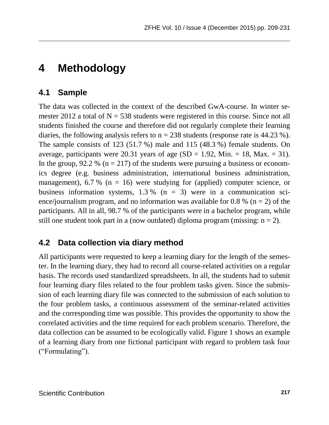# **4 Methodology**

### **4.1 Sample**

The data was collected in the context of the described GwA-course. In winter semester 2012 a total of  $N = 538$  students were registered in this course. Since not all students finished the course and therefore did not regularly complete their learning diaries, the following analysis refers to  $n = 238$  students (response rate is 44.23 %). The sample consists of 123 (51.7 %) male and 115 (48.3 %) female students. On average, participants were 20.31 years of age  $(SD = 1.92, Min. = 18, Max. = 31)$ . In the group, 92.2 % ( $n = 217$ ) of the students were pursuing a business or economics degree (e.g. business administration, international business administration, management),  $6.7\%$  (n = 16) were studying for (applied) computer science, or business information systems,  $1.3\%$  (n = 3) were in a communication science/journalism program, and no information was available for 0.8 % ( $n = 2$ ) of the participants. All in all, 98.7 % of the participants were in a bachelor program, while still one student took part in a (now outdated) diploma program (missing:  $n = 2$ ).

### **4.2 Data collection via diary method**

All participants were requested to keep a learning diary for the length of the semester. In the learning diary, they had to record all course-related activities on a regular basis. The records used standardized spreadsheets. In all, the students had to submit four learning diary files related to the four problem tasks given. Since the submission of each learning diary file was connected to the submission of each solution to the four problem tasks, a continuous assessment of the seminar-related activities and the corresponding time was possible. This provides the opportunity to show the correlated activities and the time required for each problem scenario. Therefore, the data collection can be assumed to be ecologically valid. Figure 1 shows an example of a learning diary from one fictional participant with regard to problem task four ("Formulating").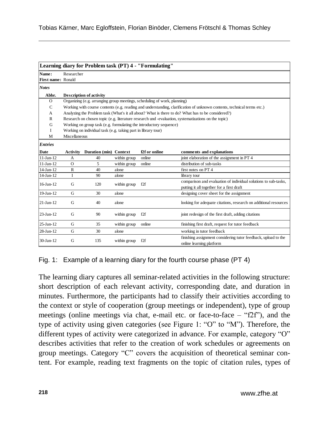| Learning diary for Problem task (PT) 4 - "Formulating" |                                                                                                                        |                                |              |                 |                                                                                                              |  |  |
|--------------------------------------------------------|------------------------------------------------------------------------------------------------------------------------|--------------------------------|--------------|-----------------|--------------------------------------------------------------------------------------------------------------|--|--|
| Name:                                                  | Researcher                                                                                                             |                                |              |                 |                                                                                                              |  |  |
| First name: Ronald                                     |                                                                                                                        |                                |              |                 |                                                                                                              |  |  |
| <b>Notes</b>                                           |                                                                                                                        |                                |              |                 |                                                                                                              |  |  |
| Abbr.                                                  |                                                                                                                        | <b>Description of activity</b> |              |                 |                                                                                                              |  |  |
| $\Omega$                                               | Organizing (e.g. arranging group meetings, scheduling of work, planning)                                               |                                |              |                 |                                                                                                              |  |  |
| $\mathsf{C}$                                           | Working with course contents (e.g. reading and understanding, clarification of unknown contents, technical terms etc.) |                                |              |                 |                                                                                                              |  |  |
| A                                                      | Analyzing the Problem task (What's it all about? What is there to do? What has to be considered?)                      |                                |              |                 |                                                                                                              |  |  |
| $\mathbf{R}$                                           | Research on chosen topic (e.g. literature research und -evaluation, systematizations on the topic)                     |                                |              |                 |                                                                                                              |  |  |
| G                                                      | Working on group task (e.g. formulating the introductory sequence)                                                     |                                |              |                 |                                                                                                              |  |  |
| T                                                      | Working on individual task (e.g. taking part in library tour)                                                          |                                |              |                 |                                                                                                              |  |  |
| M                                                      | Miscellaneous                                                                                                          |                                |              |                 |                                                                                                              |  |  |
| <b>Entries</b>                                         |                                                                                                                        |                                |              |                 |                                                                                                              |  |  |
| <b>Date</b>                                            | <b>Activity</b>                                                                                                        | Duration (min) Context         |              | f2f or online   | comments and explanations                                                                                    |  |  |
| $11-Jan-12$                                            | A                                                                                                                      | 40                             | within group | online          | joint elaboration of the assignment in PT 4                                                                  |  |  |
| $11-Jan-12$                                            | $\Omega$                                                                                                               | 5                              | within group | online          | distribution of sub-tasks                                                                                    |  |  |
| $14$ -Jan- $12$                                        | R                                                                                                                      | 40                             | alone        |                 | first notes on PT 4                                                                                          |  |  |
| $14$ -Jan- $12$                                        | I                                                                                                                      | 90                             | alone        |                 | library tour                                                                                                 |  |  |
| $16$ -Jan- $12$                                        | G                                                                                                                      | 120                            | within group | f2f             | comparison and evaluation of individual solutions to sub-tasks,<br>putting it all together for a first draft |  |  |
| 19-Jan-12                                              | G                                                                                                                      | 30                             | alone        |                 | designing cover sheet for the assignment                                                                     |  |  |
| $21-Ian-12$                                            | G                                                                                                                      | 40                             | alone        |                 | looking for adequate citations, research on additional resources                                             |  |  |
| $23$ -Jan-12                                           | G                                                                                                                      | 90                             | within group | f2f             | joint redesign of the first draft, adding citations                                                          |  |  |
| 25-Jan-12                                              | G                                                                                                                      | 35                             | within group | online          | finishing first draft, request for tutor feedback                                                            |  |  |
| 28-Jan-12                                              | G                                                                                                                      | 30                             | alone        |                 | working in tutor feedback                                                                                    |  |  |
| 30-Jan-12                                              | G                                                                                                                      | 135                            | within group | f <sub>2f</sub> | finishing assignment considering tutor feedback, upload to the<br>online learning platform                   |  |  |

Fig. 1: Example of a learning diary for the fourth course phase (PT 4)

The learning diary captures all seminar-related activities in the following structure: short description of each relevant activity, corresponding date, and duration in minutes. Furthermore, the participants had to classify their activities according to the context or style of cooperation (group meetings or independent), type of group meetings (online meetings via chat, e-mail etc. or face-to-face – "f2f"), and the type of activity using given categories (see Figure 1: "O" to "M"). Therefore, the different types of activity were categorized in advance. For example, category "O" describes activities that refer to the creation of work schedules or agreements on group meetings. Category "C" covers the acquisition of theoretical seminar content. For example, reading text fragments on the topic of citation rules, types of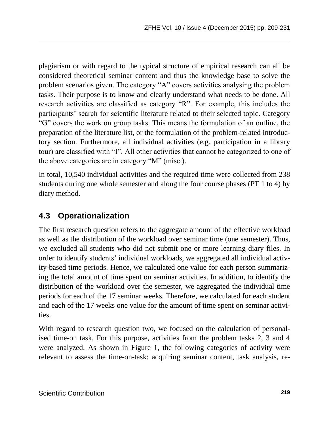plagiarism or with regard to the typical structure of empirical research can all be considered theoretical seminar content and thus the knowledge base to solve the problem scenarios given. The category "A" covers activities analysing the problem tasks. Their purpose is to know and clearly understand what needs to be done. All research activities are classified as category "R". For example, this includes the participants' search for scientific literature related to their selected topic. Category "G" covers the work on group tasks. This means the formulation of an outline, the preparation of the literature list, or the formulation of the problem-related introductory section. Furthermore, all individual activities (e.g. participation in a library tour) are classified with "I". All other activities that cannot be categorized to one of the above categories are in category "M" (misc.).

In total, 10,540 individual activities and the required time were collected from 238 students during one whole semester and along the four course phases (PT 1 to 4) by diary method.

### **4.3 Operationalization**

The first research question refers to the aggregate amount of the effective workload as well as the distribution of the workload over seminar time (one semester). Thus, we excluded all students who did not submit one or more learning diary files. In order to identify students' individual workloads, we aggregated all individual activity-based time periods. Hence, we calculated one value for each person summarizing the total amount of time spent on seminar activities. In addition, to identify the distribution of the workload over the semester, we aggregated the individual time periods for each of the 17 seminar weeks. Therefore, we calculated for each student and each of the 17 weeks one value for the amount of time spent on seminar activities.

With regard to research question two, we focused on the calculation of personalised time-on task. For this purpose, activities from the problem tasks 2, 3 and 4 were analyzed. As shown in Figure 1, the following categories of activity were relevant to assess the time-on-task: acquiring seminar content, task analysis, re-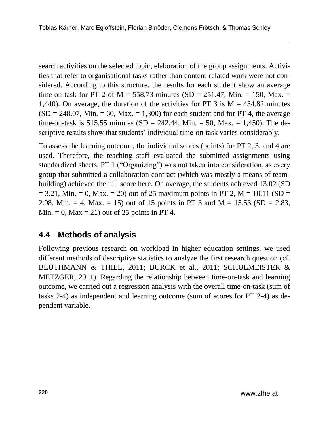search activities on the selected topic, elaboration of the group assignments. Activities that refer to organisational tasks rather than content-related work were not considered. According to this structure, the results for each student show an average time-on-task for PT 2 of M = 558.73 minutes (SD = 251.47, Min. = 150, Max. = 1,440). On average, the duration of the activities for PT 3 is  $M = 434.82$  minutes  $(SD = 248.07, Min. = 60, Max. = 1,300)$  for each student and for PT 4, the average time-on-task is 515.55 minutes (SD = 242.44, Min. = 50, Max. = 1,450). The descriptive results show that students' individual time-on-task varies considerably.

To assess the learning outcome, the individual scores (points) for PT 2, 3, and 4 are used. Therefore, the teaching staff evaluated the submitted assignments using standardized sheets. PT 1 ("Organizing") was not taken into consideration, as every group that submitted a collaboration contract (which was mostly a means of teambuilding) achieved the full score here. On average, the students achieved 13.02 (SD  $= 3.21$ , Min.  $= 0$ , Max.  $= 20$ ) out of 25 maximum points in PT 2, M  $= 10.11$  (SD  $= 10.11$ ) 2.08, Min.  $= 4$ , Max.  $= 15$ ) out of 15 points in PT 3 and M  $= 15.53$  (SD  $= 2.83$ , Min.  $= 0$ , Max  $= 21$ ) out of 25 points in PT 4.

### **4.4 Methods of analysis**

Following previous research on workload in higher education settings, we used different methods of descriptive statistics to analyze the first research question (cf. BLÜTHMANN & THIEL, 2011; BURCK et al., 2011; SCHULMEISTER & METZGER, 2011). Regarding the relationship between time-on-task and learning outcome, we carried out a regression analysis with the overall time-on-task (sum of tasks 2-4) as independent and learning outcome (sum of scores for PT 2-4) as dependent variable.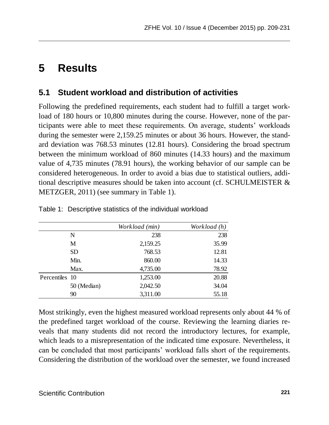# **5 Results**

### **5.1 Student workload and distribution of activities**

Following the predefined requirements, each student had to fulfill a target workload of 180 hours or 10,800 minutes during the course. However, none of the participants were able to meet these requirements. On average, students' workloads during the semester were 2,159.25 minutes or about 36 hours. However, the standard deviation was 768.53 minutes (12.81 hours). Considering the broad spectrum between the minimum workload of 860 minutes (14.33 hours) and the maximum value of 4,735 minutes (78.91 hours), the working behavior of our sample can be considered heterogeneous. In order to avoid a bias due to statistical outliers, additional descriptive measures should be taken into account (cf. SCHULMEISTER & METZGER, 2011) (see summary in Table 1).

|                |             | Workload (min) | Workload (h) |
|----------------|-------------|----------------|--------------|
|                | N           | 238            | 238          |
|                | M           | 2,159.25       | 35.99        |
|                | SD.         | 768.53         | 12.81        |
|                | Min.        | 860.00         | 14.33        |
|                | Max.        | 4,735.00       | 78.92        |
| Percentiles 10 |             | 1,253.00       | 20.88        |
|                | 50 (Median) | 2,042.50       | 34.04        |
|                | 90          | 3,311.00       | 55.18        |

Table 1: Descriptive statistics of the individual workload

Most strikingly, even the highest measured workload represents only about 44 % of the predefined target workload of the course. Reviewing the learning diaries reveals that many students did not record the introductory lectures, for example, which leads to a misrepresentation of the indicated time exposure. Nevertheless, it can be concluded that most participants' workload falls short of the requirements. Considering the distribution of the workload over the semester, we found increased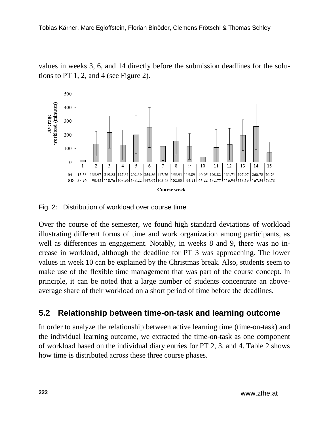values in weeks 3, 6, and 14 directly before the submission deadlines for the solutions to PT 1, 2, and 4 (see Figure 2).



Fig. 2: Distribution of workload over course time

Over the course of the semester, we found high standard deviations of workload illustrating different forms of time and work organization among participants, as well as differences in engagement. Notably, in weeks 8 and 9, there was no increase in workload, although the deadline for PT 3 was approaching. The lower values in week 10 can be explained by the Christmas break. Also, students seem to make use of the flexible time management that was part of the course concept. In principle, it can be noted that a large number of students concentrate an aboveaverage share of their workload on a short period of time before the deadlines.

### **5.2 Relationship between time-on-task and learning outcome**

In order to analyze the relationship between active learning time (time-on-task) and the individual learning outcome, we extracted the time-on-task as one component of workload based on the individual diary entries for PT 2, 3, and 4. Table 2 shows how time is distributed across these three course phases.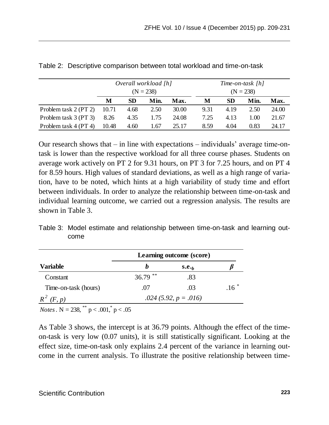|                       | Overall workload [h] |      |      |       | Time-on-task [h] |      |      |       |
|-----------------------|----------------------|------|------|-------|------------------|------|------|-------|
|                       | $(N = 238)$          |      |      |       | $(N = 238)$      |      |      |       |
|                       | М                    | SD   | Min. | Max.  | М                | SD.  | Min. | Max.  |
| Problem task 2 (PT 2) | 10.71                | 4.68 | 2.50 | 30.00 | 9.31             | 4.19 | 2.50 | 24.00 |
| Problem task 3 (PT 3) | 8.26                 | 4.35 | 1.75 | 24.08 | 7.25             | 4.13 | 1.00 | 21.67 |
| Problem task 4 (PT 4) | 10.48                | 4.60 | 1.67 | 25.17 | 8.59             | 4.04 | 0.83 | 24.17 |

| Table 2: Descriptive comparison between total workload and time-on-task |  |
|-------------------------------------------------------------------------|--|
|-------------------------------------------------------------------------|--|

Our research shows that – in line with expectations – individuals' average time-ontask is lower than the respective workload for all three course phases. Students on average work actively on PT 2 for 9.31 hours, on PT 3 for 7.25 hours, and on PT 4 for 8.59 hours. High values of standard deviations, as well as a high range of variation, have to be noted, which hints at a high variability of study time and effort between individuals. In order to analyze the relationship between time-on-task and individual learning outcome, we carried out a regression analysis. The results are shown in Table 3.

Table 3: Model estimate and relationship between time-on-task and learning outcome

|                                                              | Learning outcome (score) |      |           |  |
|--------------------------------------------------------------|--------------------------|------|-----------|--|
| Variable                                                     | h                        | S.e. |           |  |
| Constant                                                     | $36.79$ **               | .83  |           |  |
| Time-on-task (hours)                                         | .07                      | .03  | $.16$ $*$ |  |
| $R^2$ (F, p)                                                 | $.024$ (5.92, p = .016)  |      |           |  |
| $N_{\text{min}}$ N $220^{24}$ $\approx 001^{4}$ $\approx 05$ |                          |      |           |  |

*Notes*. N = 238, \*\* p < .001, p < .05

As Table 3 shows, the intercept is at 36.79 points. Although the effect of the timeon-task is very low (0.07 units), it is still statistically significant. Looking at the effect size, time-on-task only explains 2.4 percent of the variance in learning outcome in the current analysis. To illustrate the positive relationship between time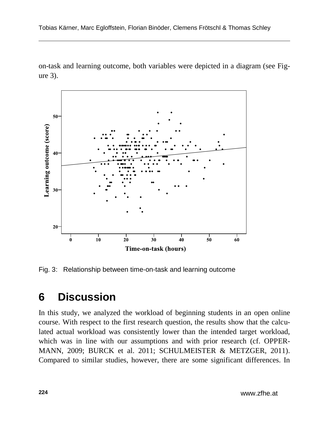on-task and learning outcome, both variables were depicted in a diagram (see Figure 3).



Fig. 3: Relationship between time-on-task and learning outcome

## **6 Discussion**

In this study, we analyzed the workload of beginning students in an open online course. With respect to the first research question, the results show that the calculated actual workload was consistently lower than the intended target workload, which was in line with our assumptions and with prior research (cf. OPPER-MANN, 2009; BURCK et al. 2011; SCHULMEISTER & METZGER, 2011). Compared to similar studies, however, there are some significant differences. In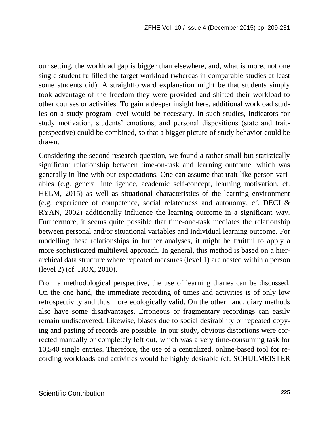our setting, the workload gap is bigger than elsewhere, and, what is more, not one single student fulfilled the target workload (whereas in comparable studies at least some students did). A straightforward explanation might be that students simply took advantage of the freedom they were provided and shifted their workload to other courses or activities. To gain a deeper insight here, additional workload studies on a study program level would be necessary. In such studies, indicators for study motivation, students' emotions, and personal dispositions (state and traitperspective) could be combined, so that a bigger picture of study behavior could be drawn.

Considering the second research question, we found a rather small but statistically significant relationship between time-on-task and learning outcome, which was generally in-line with our expectations. One can assume that trait-like person variables (e.g. general intelligence, academic self-concept, learning motivation, cf. HELM, 2015) as well as situational characteristics of the learning environment (e.g. experience of competence, social relatedness and autonomy, cf. DECI & RYAN, 2002) additionally influence the learning outcome in a significant way. Furthermore, it seems quite possible that time-one-task mediates the relationship between personal and/or situational variables and individual learning outcome. For modelling these relationships in further analyses, it might be fruitful to apply a more sophisticated multilevel approach. In general, this method is based on a hierarchical data structure where repeated measures (level 1) are nested within a person (level 2) (cf. HOX, 2010).

From a methodological perspective, the use of learning diaries can be discussed. On the one hand, the immediate recording of times and activities is of only low retrospectivity and thus more ecologically valid. On the other hand, diary methods also have some disadvantages. Erroneous or fragmentary recordings can easily remain undiscovered. Likewise, biases due to social desirability or repeated copying and pasting of records are possible. In our study, obvious distortions were corrected manually or completely left out, which was a very time-consuming task for 10,540 single entries. Therefore, the use of a centralized, online-based tool for recording workloads and activities would be highly desirable (cf. SCHULMEISTER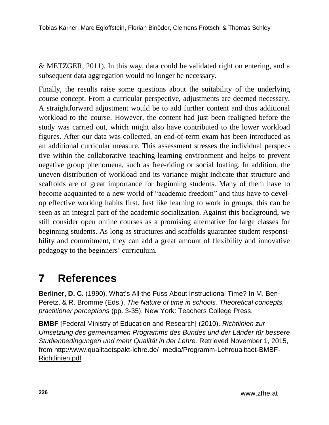& METZGER, 2011). In this way, data could be validated right on entering, and a subsequent data aggregation would no longer be necessary.

Finally, the results raise some questions about the suitability of the underlying course concept. From a curricular perspective, adjustments are deemed necessary. A straightforward adjustment would be to add further content and thus additional workload to the course. However, the content had just been realigned before the study was carried out, which might also have contributed to the lower workload figures. After our data was collected, an end-of-term exam has been introduced as an additional curricular measure. This assessment stresses the individual perspective within the collaborative teaching-learning environment and helps to prevent negative group phenomena, such as free-riding or social loafing. In addition, the uneven distribution of workload and its variance might indicate that structure and scaffolds are of great importance for beginning students. Many of them have to become acquainted to a new world of "academic freedom" and thus have to develop effective working habits first. Just like learning to work in groups, this can be seen as an integral part of the academic socialization. Against this background, we still consider open online courses as a promising alternative for large classes for beginning students. As long as structures and scaffolds guarantee student responsibility and commitment, they can add a great amount of flexibility and innovative pedagogy to the beginners' curriculum.

## **7 References**

**Berliner, D. C.** (1990). What's All the Fuss About Instructional Time? In M. Ben-Peretz, & R. Bromme (Eds.), *The Nature of time in schools. Theoretical concepts, practitioner perceptions* (pp. 3-35). New York: Teachers College Press.

**BMBF** [Federal Ministry of Education and Research] (2010). *Richtlinien zur Umsetzung des gemeinsamen Programms des Bundes und der Länder für bessere Studienbedingungen und mehr Qualität in der Lehre.* Retrieved November 1, 2015, from [http://www.qualitaetspakt-lehre.de/\\_media/Programm-Lehrqualitaet-BMBF-](http://www.qualitaetspakt-lehre.de/_media/Programm-Lehrqualitaet-BMBF-Richtlinien.pdf)[Richtlinien.pdf](http://www.qualitaetspakt-lehre.de/_media/Programm-Lehrqualitaet-BMBF-Richtlinien.pdf)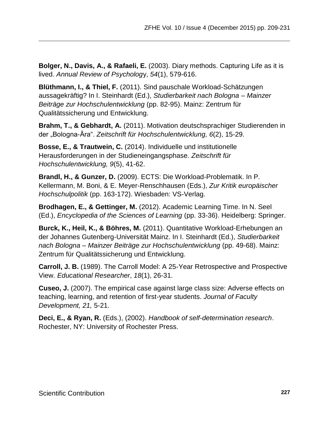**Bolger, N., Davis, A., & Rafaeli, E.** (2003). Diary methods. Capturing Life as it is lived. *Annual Review of Psycholog*y, *54*(1), 579-616.

**Blüthmann, I., & Thiel, F.** (2011). Sind pauschale Workload-Schätzungen aussagekräftig? In I. Steinhardt (Ed.), *Studierbarkeit nach Bologna – Mainzer Beiträge zur Hochschulentwicklung* (pp. 82-95). Mainz: Zentrum für Qualitätssicherung und Entwicklung.

**Brahm, T., & Gebhardt, A.** (2011). Motivation deutschsprachiger Studierenden in der "Bologna-Ära". *Zeitschrift für Hochschulentwicklung, 6*(2), 15-29.

**Bosse, E., & Trautwein, C.** (2014). Individuelle und institutionelle Herausforderungen in der Studieneingangsphase. *Zeitschrift für Hochschulentwicklung, 9*(5), 41-62.

**Brandl, H., & Gunzer, D.** (2009). ECTS: Die Workload-Problematik. In P. Kellermann, M. Boni, & E. Meyer-Renschhausen (Eds.), *Zur Kritik europäischer Hochschulpolitik* (pp. 163-172). Wiesbaden: VS-Verlag.

**Brodhagen, E., & Gettinger, M.** (2012). Academic Learning Time. In N. Seel (Ed.), *Encyclopedia of the Sciences of Learning* (pp. 33-36). Heidelberg: Springer.

**Burck, K., Heil, K., & Böhres, M.** (2011). Quantitative Workload-Erhebungen an der Johannes Gutenberg-Universität Mainz. In I. Steinhardt (Ed.), *Studierbarkeit nach Bologna – Mainzer Beiträge zur Hochschulentwicklung* (pp. 49-68). Mainz: Zentrum für Qualitätssicherung und Entwicklung.

**Carroll, J. B.** (1989). The Carroll Model: A 25-Year Retrospective and Prospective View. *Educational Researcher*, *18*(1), 26-31.

**Cuseo, J.** (2007). The empirical case against large class size: Adverse effects on teaching, learning, and retention of first-year students. *Journal of Faculty Development, 21,* 5-21.

**Deci, E., & Ryan, R.** (Eds.), (2002). *Handbook of self-determination research*. Rochester, NY: University of Rochester Press.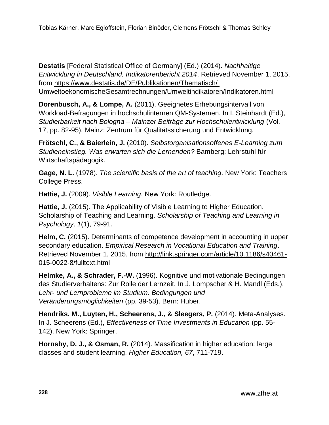**Destatis** [Federal Statistical Office of Germany] (Ed.) (2014). *Nachhaltige Entwicklung in Deutschland. Indikatorenbericht 2014*. Retrieved November 1, 2015, from [https://www.destatis.de/DE/Publikationen/Thematisch/](https://www.destatis.de/DE/Publikationen/Thematisch/%20UmweltoekonomischeGesamtrechnungen/Umweltindikatoren/Indikatoren.html)  [UmweltoekonomischeGesamtrechnungen/Umweltindikatoren/Indikatoren.html](https://www.destatis.de/DE/Publikationen/Thematisch/%20UmweltoekonomischeGesamtrechnungen/Umweltindikatoren/Indikatoren.html)

**Dorenbusch, A., & Lompe, A.** (2011). Geeignetes Erhebungsintervall von Workload-Befragungen in hochschulinternen QM-Systemen. In I. Steinhardt (Ed.), *Studierbarkeit nach Bologna – Mainzer Beiträge zur Hochschulentwicklung* (Vol. 17, pp. 82-95). Mainz: Zentrum für Qualitätssicherung und Entwicklung.

**Frötschl, C., & Baierlein, J.** (2010). *Selbstorganisationsoffenes E-Learning zum Studieneinstieg. Was erwarten sich die Lernenden?* Bamberg: Lehrstuhl für Wirtschaftspädagogik.

**Gage, N. L.** (1978). *The scientific basis of the art of teaching*. New York: Teachers College Press.

**Hattie, J.** (2009). *Visible Learning*. New York: Routledge.

**Hattie, J.** (2015). The Applicability of Visible Learning to Higher Education. Scholarship of Teaching and Learning. *Scholarship of Teaching and Learning in Psychology, 1*(1), 79-91.

**Helm, C.** (2015). Determinants of competence development in accounting in upper secondary education. *Empirical Research in Vocational Education and Training*. Retrieved November 1, 2015, from [http://link.springer.com/article/10.1186/s40461-](http://link.springer.com/article/10.1186/s40461-015-0022-8/fulltext.html) [015-0022-8/fulltext.html](http://link.springer.com/article/10.1186/s40461-015-0022-8/fulltext.html)

**Helmke, A., & Schrader, F.-W.** (1996). Kognitive und motivationale Bedingungen des Studierverhaltens: Zur Rolle der Lernzeit. In J. Lompscher & H. Mandl (Eds.), *Lehr- und Lernprobleme im Studium. Bedingungen und Veränderungsmöglichkeiten* (pp. 39-53). Bern: Huber.

**Hendriks, M., Luyten, H., Scheerens, J., & Sleegers, P.** (2014). Meta-Analyses. In J. Scheerens (Ed.), *Effectiveness of Time Investments in Education* (pp. 55- 142). New York: Springer.

**Hornsby, D. J., & Osman, R.** (2014). Massification in higher education: large classes and student learning. *Higher Education, 67*, 711-719.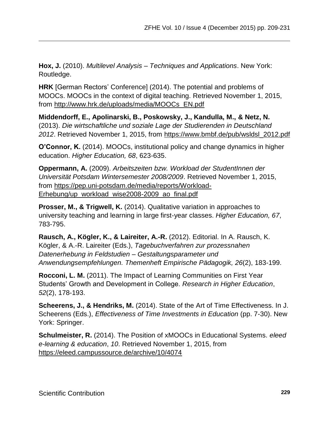**Hox, J.** (2010). *Multilevel Analysis – Techniques and Applications*. New York: Routledge.

**HRK** [German Rectors' Conference] (2014). The potential and problems of MOOCs. MOOCs in the context of digital teaching. Retrieved November 1, 2015, from [http://www.hrk.de/uploads/media/MOOCs\\_EN.pdf](http://www.hrk.de/uploads/media/MOOCs_EN.pdf)

**Middendorff, E., Apolinarski, B., Poskowsky, J., Kandulla, M., & Netz, N.** (2013). *Die wirtschaftliche und soziale Lage der Studierenden in Deutschland 2012*. Retrieved November 1, 2015, from [https://www.bmbf.de/pub/wsldsl\\_2012.pdf](https://www.bmbf.de/pub/wsldsl_2012.pdf)

**O'Connor, K.** (2014). MOOCs, institutional policy and change dynamics in higher education. *Higher Education, 68*, 623-635.

**Oppermann, A.** (2009). *Arbeitszeiten bzw. Workload der StudentInnen der Universität Potsdam Wintersemester 2008/2009*. Retrieved November 1, 2015, from [https://pep.uni-potsdam.de/media/reports/Workload-](https://pep.uni-potsdam.de/media/reports/Workload-Erhebung/up_workload_wise2008-2009_ao_final.pdf)[Erhebung/up\\_workload\\_wise2008-2009\\_ao\\_final.pdf](https://pep.uni-potsdam.de/media/reports/Workload-Erhebung/up_workload_wise2008-2009_ao_final.pdf)

**Prosser, M., & Trigwell, K.** (2014). Qualitative variation in approaches to university teaching and learning in large first-year classes. *Higher Education, 67*, 783-795.

**Rausch, A., Kögler, K., & Laireiter, A.-R.** (2012). Editorial. In A. Rausch, K. Kögler, & A.-R. Laireiter (Eds.), *Tagebuchverfahren zur prozessnahen Datenerhebung in Feldstudien – Gestaltungsparameter und Anwendungsempfehlungen. Themenheft Empirische Pädagogik, 26*(2), 183-199.

**Rocconi, L. M.** (2011). The Impact of Learning Communities on First Year Students' Growth and Development in College. *Research in Higher Education*, *52*(2), 178-193.

**Scheerens, J., & Hendriks, M.** (2014). State of the Art of Time Effectiveness. In J. Scheerens (Eds.), *Effectiveness of Time Investments in Education* (pp. 7-30). New York: Springer.

**Schulmeister, R.** (2014). The Position of xMOOCs in Educational Systems. *eleed e-learning & education*, *10*. Retrieved November 1, 2015, from <https://eleed.campussource.de/archive/10/4074>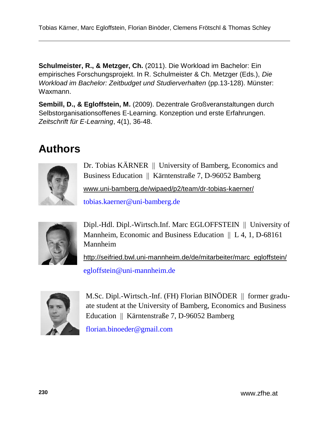**Schulmeister, R., & Metzger, Ch.** (2011). Die Workload im Bachelor: Ein empirisches Forschungsprojekt. In R. Schulmeister & Ch. Metzger (Eds.), *Die Workload im Bachelor: Zeitbudget und Studierverhalten* (pp.13-128). Münster: Waxmann.

**Sembill, D., & Egloffstein, M.** (2009). Dezentrale Großveranstaltungen durch Selbstorganisationsoffenes E-Learning. Konzeption und erste Erfahrungen. *Zeitschrift für E-Learning*, 4(1), 36-48.

# **Authors**



Dr. Tobias KÄRNER || University of Bamberg, Economics and Business Education || Kärntenstraße 7, D-96052 Bamberg [www.uni-bamberg.de/wipaed/p2/team/dr-tobias-kaerner/](http://www.uni-bamberg.de/wipaed/p2/team/dr-tobias-kaerner/)

[tobias.kaerner@uni-bamberg.de](mailto:tobias.kaerner@uni-bamberg.de)



Dipl.-Hdl. Dipl.-Wirtsch.Inf. Marc EGLOFFSTEIN University of Mannheim, Economic and Business Education  $|| L 4, 1, D-68161$ Mannheim

[http://seifried.bwl.uni-mannheim.de/de/mitarbeiter/marc\\_egloffstein/](http://seifried.bwl.uni-mannheim.de/de/mitarbeiter/marc_egloffstein/) [egloffstein@uni-mannheim.de](mailto:egloffstein@uni-mannheim.de)



M.Sc. Dipl.-Wirtsch.-Inf. (FH) Florian BINÖDER || former graduate student at the University of Bamberg, Economics and Business Education || Kärntenstraße 7, D-96052 Bamberg

[florian.binoeder@gmail.com](mailto:florian.binoeder@gmail.com)